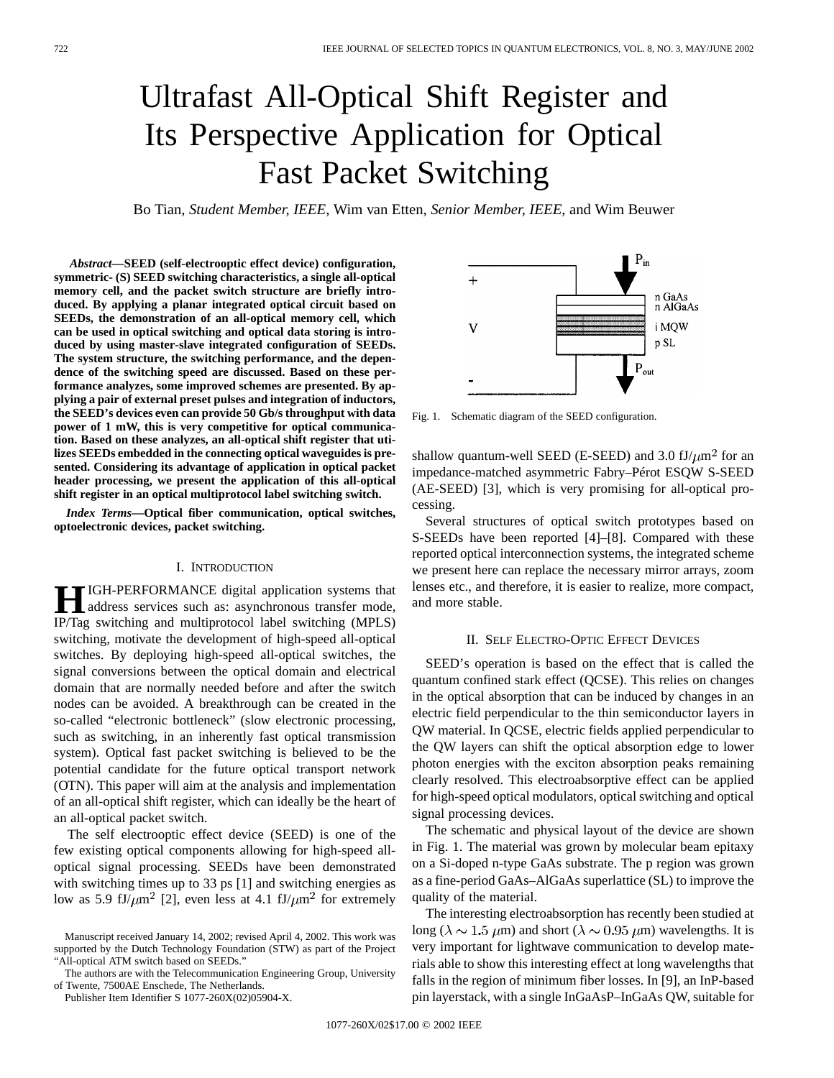# Ultrafast All-Optical Shift Register and Its Perspective Application for Optical Fast Packet Switching

Bo Tian*, Student Member, IEEE*, Wim van Etten*, Senior Member, IEEE*, and Wim Beuwer

*Abstract—***SEED (self-electrooptic effect device) configuration, symmetric- (S) SEED switching characteristics, a single all-optical memory cell, and the packet switch structure are briefly introduced. By applying a planar integrated optical circuit based on SEEDs, the demonstration of an all-optical memory cell, which can be used in optical switching and optical data storing is introduced by using master-slave integrated configuration of SEEDs. The system structure, the switching performance, and the dependence of the switching speed are discussed. Based on these performance analyzes, some improved schemes are presented. By applying a pair of external preset pulses and integration of inductors, the SEED's devices even can provide 50 Gb/s throughput with data power of 1 mW, this is very competitive for optical communication. Based on these analyzes, an all-optical shift register that utilizes SEEDs embedded in the connecting optical waveguides is presented. Considering its advantage of application in optical packet header processing, we present the application of this all-optical shift register in an optical multiprotocol label switching switch.**

*Index Terms—***Optical fiber communication, optical switches, optoelectronic devices, packet switching.**

## I. INTRODUCTION

**HIGH-PERFORMANCE** digital application systems that address services such as: asynchronous transfer mode, IP/Tag switching and multiprotocol label switching (MPLS) switching, motivate the development of high-speed all-optical switches. By deploying high-speed all-optical switches, the signal conversions between the optical domain and electrical domain that are normally needed before and after the switch nodes can be avoided. A breakthrough can be created in the so-called "electronic bottleneck" (slow electronic processing, such as switching, in an inherently fast optical transmission system). Optical fast packet switching is believed to be the potential candidate for the future optical transport network (OTN). This paper will aim at the analysis and implementation of an all-optical shift register, which can ideally be the heart of an all-optical packet switch.

The self electrooptic effect device (SEED) is one of the few existing optical components allowing for high-speed alloptical signal processing. SEEDs have been demonstrated with switching times up to 33 ps [1] and switching energies as low as 5.9 fJ/ $\mu$ m<sup>2</sup> [2], even less at 4.1 fJ/ $\mu$ m<sup>2</sup> for extremely

The authors are with the Telecommunication Engineering Group, University of Twente, 7500AE Enschede, The Netherlands.

Publisher Item Identifier S 1077-260X(02)05904-X.



Fig. 1. Schematic diagram of the SEED configuration.

shallow quantum-well SEED (E-SEED) and 3.0  $fJ/\mu m^2$  for an impedance-matched asymmetric Fabry–Pérot ESQW S-SEED (AE-SEED) [3], which is very promising for all-optical processing.

Several structures of optical switch prototypes based on S-SEEDs have been reported [4]–[8]. Compared with these reported optical interconnection systems, the integrated scheme we present here can replace the necessary mirror arrays, zoom lenses etc., and therefore, it is easier to realize, more compact, and more stable.

# II. SELF ELECTRO-OPTIC EFFECT DEVICES

SEED's operation is based on the effect that is called the quantum confined stark effect (QCSE). This relies on changes in the optical absorption that can be induced by changes in an electric field perpendicular to the thin semiconductor layers in QW material. In QCSE, electric fields applied perpendicular to the QW layers can shift the optical absorption edge to lower photon energies with the exciton absorption peaks remaining clearly resolved. This electroabsorptive effect can be applied for high-speed optical modulators, optical switching and optical signal processing devices.

The schematic and physical layout of the device are shown in Fig. 1. The material was grown by molecular beam epitaxy on a Si-doped n-type GaAs substrate. The p region was grown as a fine-period GaAs–AlGaAs superlattice (SL) to improve the quality of the material.

The interesting electroabsorption has recently been studied at long ( $\lambda \sim 1.5 \ \mu \text{m}$ ) and short ( $\lambda \sim 0.95 \ \mu \text{m}$ ) wavelengths. It is very important for lightwave communication to develop materials able to show this interesting effect at long wavelengths that falls in the region of minimum fiber losses. In [9], an InP-based pin layerstack, with a single InGaAsP–InGaAs QW, suitable for

Manuscript received January 14, 2002; revised April 4, 2002. This work was supported by the Dutch Technology Foundation (STW) as part of the Project "All-optical ATM switch based on SEEDs."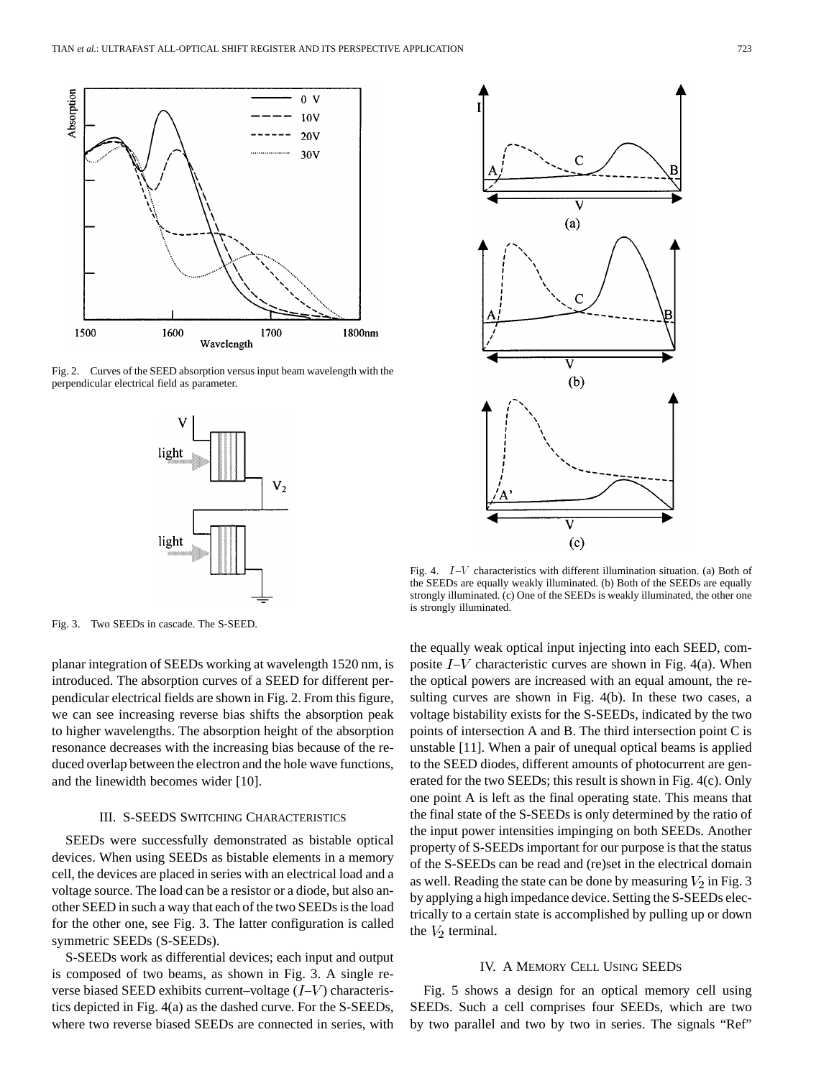

Fig. 2. Curves of the SEED absorption versus input beam wavelength with the perpendicular electrical field as parameter.



Fig. 3. Two SEEDs in cascade. The S-SEED.

planar integration of SEEDs working at wavelength 1520 nm, is introduced. The absorption curves of a SEED for different perpendicular electrical fields are shown in Fig. 2. From this figure, we can see increasing reverse bias shifts the absorption peak to higher wavelengths. The absorption height of the absorption resonance decreases with the increasing bias because of the reduced overlap between the electron and the hole wave functions, and the linewidth becomes wider [10].

# III. S-SEEDS SWITCHING CHARACTERISTICS

SEEDs were successfully demonstrated as bistable optical devices. When using SEEDs as bistable elements in a memory cell, the devices are placed in series with an electrical load and a voltage source. The load can be a resistor or a diode, but also another SEED in such a way that each of the two SEEDs is the load for the other one, see Fig. 3. The latter configuration is called symmetric SEEDs (S-SEEDs).

S-SEEDs work as differential devices; each input and output is composed of two beams, as shown in Fig. 3. A single reverse biased SEED exhibits current–voltage  $(I-V)$  characteristics depicted in Fig. 4(a) as the dashed curve. For the S-SEEDs, where two reverse biased SEEDs are connected in series, with



Fig. 4. I–V characteristics with different illumination situation. (a) Both of the SEEDs are equally weakly illuminated. (b) Both of the SEEDs are equally strongly illuminated. (c) One of the SEEDs is weakly illuminated, the other one is strongly illuminated.

the equally weak optical input injecting into each SEED, composite  $I-V$  characteristic curves are shown in Fig. 4(a). When the optical powers are increased with an equal amount, the resulting curves are shown in Fig. 4(b). In these two cases, a voltage bistability exists for the S-SEEDs, indicated by the two points of intersection A and B. The third intersection point C is unstable [11]. When a pair of unequal optical beams is applied to the SEED diodes, different amounts of photocurrent are generated for the two SEEDs; this result is shown in Fig. 4(c). Only one point A is left as the final operating state. This means that the final state of the S-SEEDs is only determined by the ratio of the input power intensities impinging on both SEEDs. Another property of S-SEEDs important for our purpose is that the status of the S-SEEDs can be read and (re)set in the electrical domain as well. Reading the state can be done by measuring  $V_2$  in Fig. 3 by applying a high impedance device. Setting the S-SEEDs electrically to a certain state is accomplished by pulling up or down the  $V_2$  terminal.

# IV. A MEMORY CELL USING SEEDS

Fig. 5 shows a design for an optical memory cell using SEEDs. Such a cell comprises four SEEDs, which are two by two parallel and two by two in series. The signals "Ref"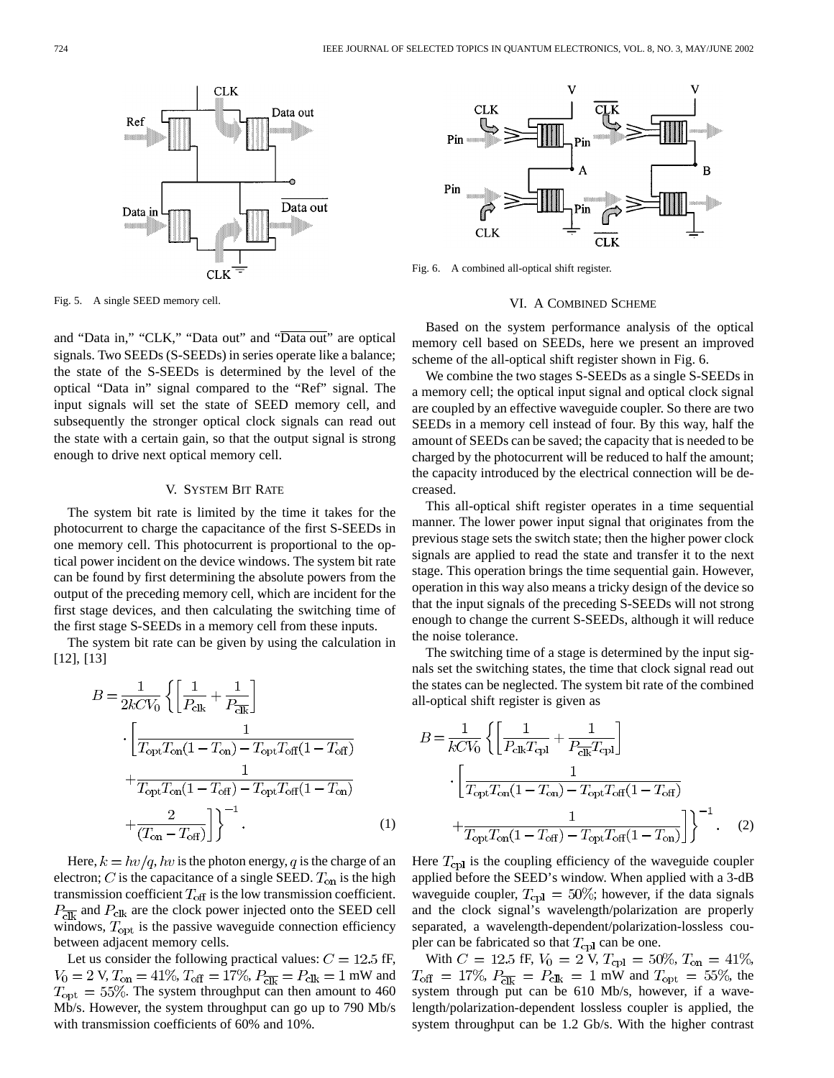

Fig. 5. A single SEED memory cell.

and "Data in," "CLK," "Data out" and "Data out" are optical signals. Two SEEDs (S-SEEDs) in series operate like a balance; the state of the S-SEEDs is determined by the level of the optical "Data in" signal compared to the "Ref" signal. The input signals will set the state of SEED memory cell, and subsequently the stronger optical clock signals can read out the state with a certain gain, so that the output signal is strong enough to drive next optical memory cell.

## V. SYSTEM BIT RATE

The system bit rate is limited by the time it takes for the photocurrent to charge the capacitance of the first S-SEEDs in one memory cell. This photocurrent is proportional to the optical power incident on the device windows. The system bit rate can be found by first determining the absolute powers from the output of the preceding memory cell, which are incident for the first stage devices, and then calculating the switching time of the first stage S-SEEDs in a memory cell from these inputs.

The system bit rate can be given by using the calculation in [12], [13]

$$
B = \frac{1}{2kCV_0} \left\{ \left[ \frac{1}{P_{\text{clk}}} + \frac{1}{P_{\text{clk}}} \right] \right\}
$$

$$
\cdot \left[ \frac{1}{T_{\text{opt}}T_{\text{on}}(1 - T_{\text{on}}) - T_{\text{opt}}T_{\text{off}}(1 - T_{\text{off}})} + \frac{1}{T_{\text{opt}}T_{\text{on}}(1 - T_{\text{off}}) - T_{\text{opt}}T_{\text{off}}(1 - T_{\text{on}})} + \frac{2}{(T_{\text{on}} - T_{\text{off}})} \right] \right\}^{-1}.
$$
(1)

Here,  $k = hv/q$ , hv is the photon energy, q is the charge of an electron;  $C$  is the capacitance of a single SEED.  $T_{on}$  is the high transmission coefficient  $T_{\text{off}}$  is the low transmission coefficient.  $P_{\text{clk}}$  and  $P_{\text{clk}}$  are the clock power injected onto the SEED cell windows,  $T_{\text{opt}}$  is the passive waveguide connection efficiency between adjacent memory cells.

Let us consider the following practical values:  $C = 12.5$  fF,  $V_0 = 2$  V,  $T_{on} = 41\%, T_{off} = 17\%, P_{\overline{clk}} = P_{\text{clk}} = 1$  mW and  $T_{\rm opt} = 55\%$ . The system throughput can then amount to 460 Mb/s. However, the system throughput can go up to 790 Mb/s with transmission coefficients of 60% and 10%.



Fig. 6. A combined all-optical shift register.

#### VI. A COMBINED SCHEME

Based on the system performance analysis of the optical memory cell based on SEEDs, here we present an improved scheme of the all-optical shift register shown in Fig. 6.

We combine the two stages S-SEEDs as a single S-SEEDs in a memory cell; the optical input signal and optical clock signal are coupled by an effective waveguide coupler. So there are two SEEDs in a memory cell instead of four. By this way, half the amount of SEEDs can be saved; the capacity that is needed to be charged by the photocurrent will be reduced to half the amount; the capacity introduced by the electrical connection will be decreased.

This all-optical shift register operates in a time sequential manner. The lower power input signal that originates from the previous stage sets the switch state; then the higher power clock signals are applied to read the state and transfer it to the next stage. This operation brings the time sequential gain. However, operation in this way also means a tricky design of the device so that the input signals of the preceding S-SEEDs will not strong enough to change the current S-SEEDs, although it will reduce the noise tolerance.

The switching time of a stage is determined by the input signals set the switching states, the time that clock signal read out the states can be neglected. The system bit rate of the combined all-optical shift register is given as

$$
B = \frac{1}{kCV_0} \left\{ \left[ \frac{1}{P_{\text{clk}} T_{\text{cpl}}} + \frac{1}{P_{\text{clk}} T_{\text{cpl}}} \right] \right\}
$$

$$
\cdot \left[ \frac{1}{T_{\text{opt}} T_{\text{on}} (1 - T_{\text{on}}) - T_{\text{opt}} T_{\text{off}} (1 - T_{\text{off}})} + \frac{1}{T_{\text{opt}} T_{\text{on}} (1 - T_{\text{off}}) - T_{\text{opt}} T_{\text{off}} (1 - T_{\text{on}})} \right] \right\}^{-1}.
$$
(2)

Here  $T_{\text{col}}$  is the coupling efficiency of the waveguide coupler applied before the SEED's window. When applied with a 3-dB waveguide coupler,  $T_{\text{cpl}} = 50\%$ ; however, if the data signals and the clock signal's wavelength/polarization are properly separated, a wavelength-dependent/polarization-lossless coupler can be fabricated so that  $T_{\text{cpl}}$  can be one.

With  $C = 12.5$  fF,  $V_0 = 2$  V,  $T_{\text{cpl}} = 50\%, T_{\text{on}} = 41\%$ , ,  $P_{\text{clk}} = P_{\text{clk}} = 1$  mW and  $T_{\text{opt}} = 55\%$ , the system through put can be 610 Mb/s, however, if a wavelength/polarization-dependent lossless coupler is applied, the system throughput can be 1.2 Gb/s. With the higher contrast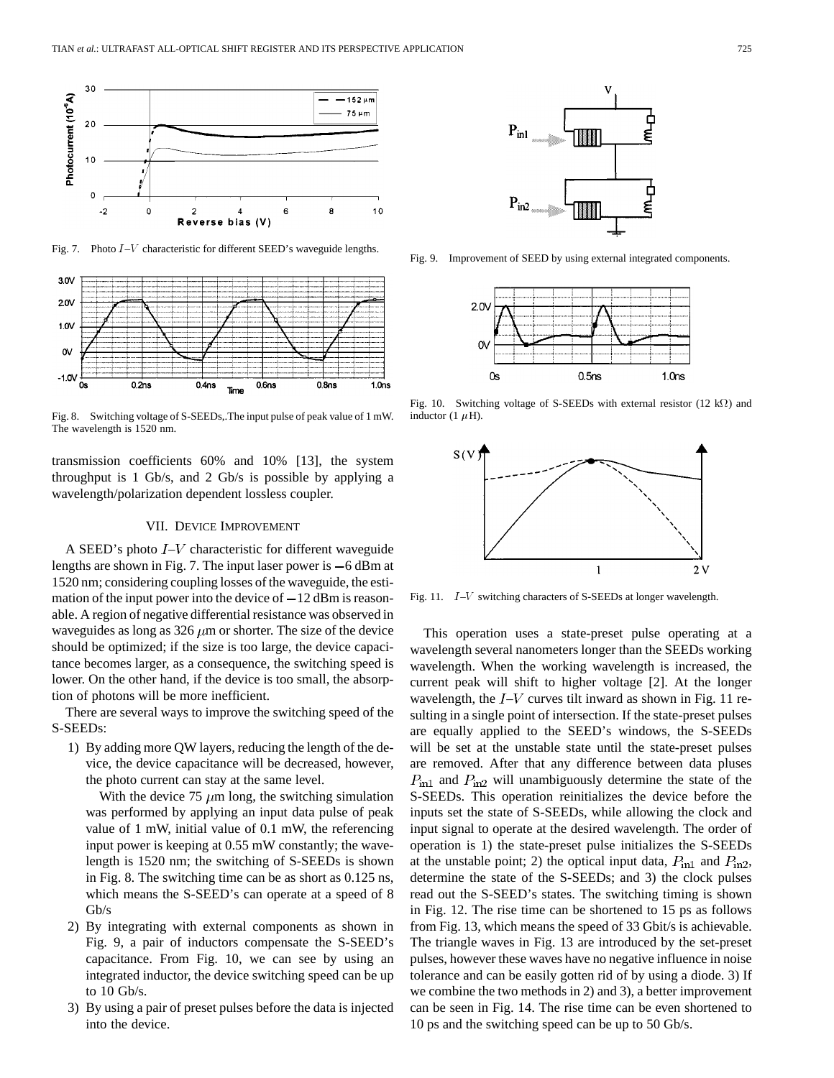

Fig. 7. Photo  $I-V$  characteristic for different SEED's waveguide lengths.



Fig. 8. Switching voltage of S-SEEDs,.The input pulse of peak value of 1 mW. The wavelength is 1520 nm.

transmission coefficients 60% and 10% [13], the system throughput is 1 Gb/s, and 2 Gb/s is possible by applying a wavelength/polarization dependent lossless coupler.

# VII. DEVICE IMPROVEMENT

A SEED's photo  $I-V$  characteristic for different waveguide lengths are shown in Fig. 7. The input laser power is  $-6$  dBm at 1520 nm; considering coupling losses of the waveguide, the estimation of the input power into the device of  $-12$  dBm is reasonable. A region of negative differential resistance was observed in waveguides as long as  $326 \mu m$  or shorter. The size of the device should be optimized; if the size is too large, the device capacitance becomes larger, as a consequence, the switching speed is lower. On the other hand, if the device is too small, the absorption of photons will be more inefficient.

There are several ways to improve the switching speed of the S-SEEDs:

1) By adding more QW layers, reducing the length of the device, the device capacitance will be decreased, however, the photo current can stay at the same level.

With the device 75  $\mu$ m long, the switching simulation was performed by applying an input data pulse of peak value of 1 mW, initial value of 0.1 mW, the referencing input power is keeping at 0.55 mW constantly; the wavelength is 1520 nm; the switching of S-SEEDs is shown in Fig. 8. The switching time can be as short as 0.125 ns, which means the S-SEED's can operate at a speed of 8 Gb/s

- 2) By integrating with external components as shown in Fig. 9, a pair of inductors compensate the S-SEED's capacitance. From Fig. 10, we can see by using an integrated inductor, the device switching speed can be up to 10 Gb/s.
- 3) By using a pair of preset pulses before the data is injected into the device.



Fig. 9. Improvement of SEED by using external integrated components.



Fig. 10. Switching voltage of S-SEEDs with external resistor  $(12 \text{ k}\Omega)$  and inductor  $(1 \mu H)$ .



Fig. 11. I–V switching characters of S-SEEDs at longer wavelength.

This operation uses a state-preset pulse operating at a wavelength several nanometers longer than the SEEDs working wavelength. When the working wavelength is increased, the current peak will shift to higher voltage [2]. At the longer wavelength, the  $I-V$  curves tilt inward as shown in Fig. 11 resulting in a single point of intersection. If the state-preset pulses are equally applied to the SEED's windows, the S-SEEDs will be set at the unstable state until the state-preset pulses are removed. After that any difference between data pluses  $P_{\text{in1}}$  and  $P_{\text{in2}}$  will unambiguously determine the state of the S-SEEDs. This operation reinitializes the device before the inputs set the state of S-SEEDs, while allowing the clock and input signal to operate at the desired wavelength. The order of operation is 1) the state-preset pulse initializes the S-SEEDs at the unstable point; 2) the optical input data,  $P_{\text{in1}}$  and  $P_{\text{in2}}$ , determine the state of the S-SEEDs; and 3) the clock pulses read out the S-SEED's states. The switching timing is shown in Fig. 12. The rise time can be shortened to 15 ps as follows from Fig. 13, which means the speed of 33 Gbit/s is achievable. The triangle waves in Fig. 13 are introduced by the set-preset pulses, however these waves have no negative influence in noise tolerance and can be easily gotten rid of by using a diode. 3) If we combine the two methods in 2) and 3), a better improvement can be seen in Fig. 14. The rise time can be even shortened to 10 ps and the switching speed can be up to 50 Gb/s.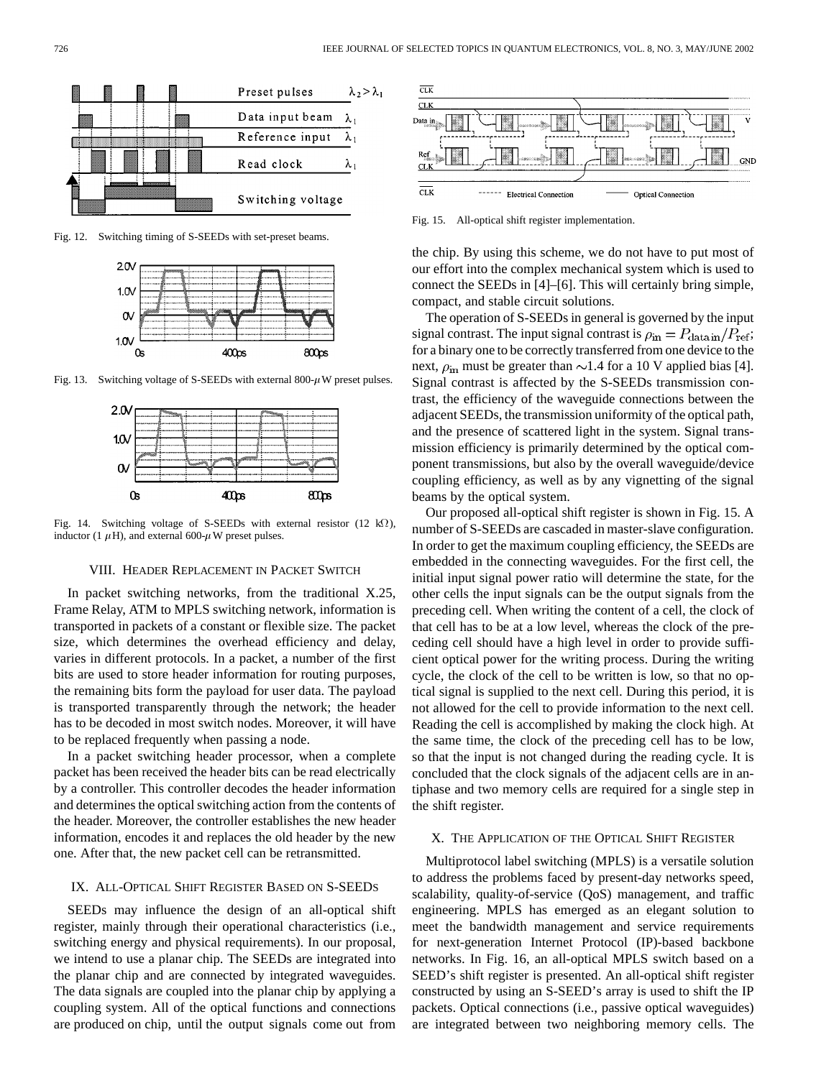

Fig. 12. Switching timing of S-SEEDs with set-preset beams.



Fig. 13. Switching voltage of S-SEEDs with external 800- $\mu$ W preset pulses.



Fig. 14. Switching voltage of S-SEEDs with external resistor (12  $k\Omega$ ), inductor (1  $\mu$ H), and external 600- $\mu$ W preset pulses.

#### VIII. HEADER REPLACEMENT IN PACKET SWITCH

In packet switching networks, from the traditional X.25, Frame Relay, ATM to MPLS switching network, information is transported in packets of a constant or flexible size. The packet size, which determines the overhead efficiency and delay, varies in different protocols. In a packet, a number of the first bits are used to store header information for routing purposes, the remaining bits form the payload for user data. The payload is transported transparently through the network; the header has to be decoded in most switch nodes. Moreover, it will have to be replaced frequently when passing a node.

In a packet switching header processor, when a complete packet has been received the header bits can be read electrically by a controller. This controller decodes the header information and determines the optical switching action from the contents of the header. Moreover, the controller establishes the new header information, encodes it and replaces the old header by the new one. After that, the new packet cell can be retransmitted.

### IX. ALL-OPTICAL SHIFT REGISTER BASED ON S-SEEDS

SEEDs may influence the design of an all-optical shift register, mainly through their operational characteristics (i.e., switching energy and physical requirements). In our proposal, we intend to use a planar chip. The SEEDs are integrated into the planar chip and are connected by integrated waveguides. The data signals are coupled into the planar chip by applying a coupling system. All of the optical functions and connections are produced on chip, until the output signals come out from



Fig. 15. All-optical shift register implementation.

the chip. By using this scheme, we do not have to put most of our effort into the complex mechanical system which is used to connect the SEEDs in [4]–[6]. This will certainly bring simple, compact, and stable circuit solutions.

The operation of S-SEEDs in general is governed by the input signal contrast. The input signal contrast is  $\rho_{\rm in} = P_{\rm data\,in}/P_{\rm ref}$ ; for a binary one to be correctly transferred from one device to the next,  $\rho_{\text{in}}$  must be greater than  $\sim$ 1.4 for a 10 V applied bias [4]. Signal contrast is affected by the S-SEEDs transmission contrast, the efficiency of the waveguide connections between the adjacent SEEDs, the transmission uniformity of the optical path, and the presence of scattered light in the system. Signal transmission efficiency is primarily determined by the optical component transmissions, but also by the overall waveguide/device coupling efficiency, as well as by any vignetting of the signal beams by the optical system.

Our proposed all-optical shift register is shown in Fig. 15. A number of S-SEEDs are cascaded in master-slave configuration. In order to get the maximum coupling efficiency, the SEEDs are embedded in the connecting waveguides. For the first cell, the initial input signal power ratio will determine the state, for the other cells the input signals can be the output signals from the preceding cell. When writing the content of a cell, the clock of that cell has to be at a low level, whereas the clock of the preceding cell should have a high level in order to provide sufficient optical power for the writing process. During the writing cycle, the clock of the cell to be written is low, so that no optical signal is supplied to the next cell. During this period, it is not allowed for the cell to provide information to the next cell. Reading the cell is accomplished by making the clock high. At the same time, the clock of the preceding cell has to be low, so that the input is not changed during the reading cycle. It is concluded that the clock signals of the adjacent cells are in antiphase and two memory cells are required for a single step in the shift register.

# X. THE APPLICATION OF THE OPTICAL SHIFT REGISTER

Multiprotocol label switching (MPLS) is a versatile solution to address the problems faced by present-day networks speed, scalability, quality-of-service (QoS) management, and traffic engineering. MPLS has emerged as an elegant solution to meet the bandwidth management and service requirements for next-generation Internet Protocol (IP)-based backbone networks. In Fig. 16, an all-optical MPLS switch based on a SEED's shift register is presented. An all-optical shift register constructed by using an S-SEED's array is used to shift the IP packets. Optical connections (i.e., passive optical waveguides) are integrated between two neighboring memory cells. The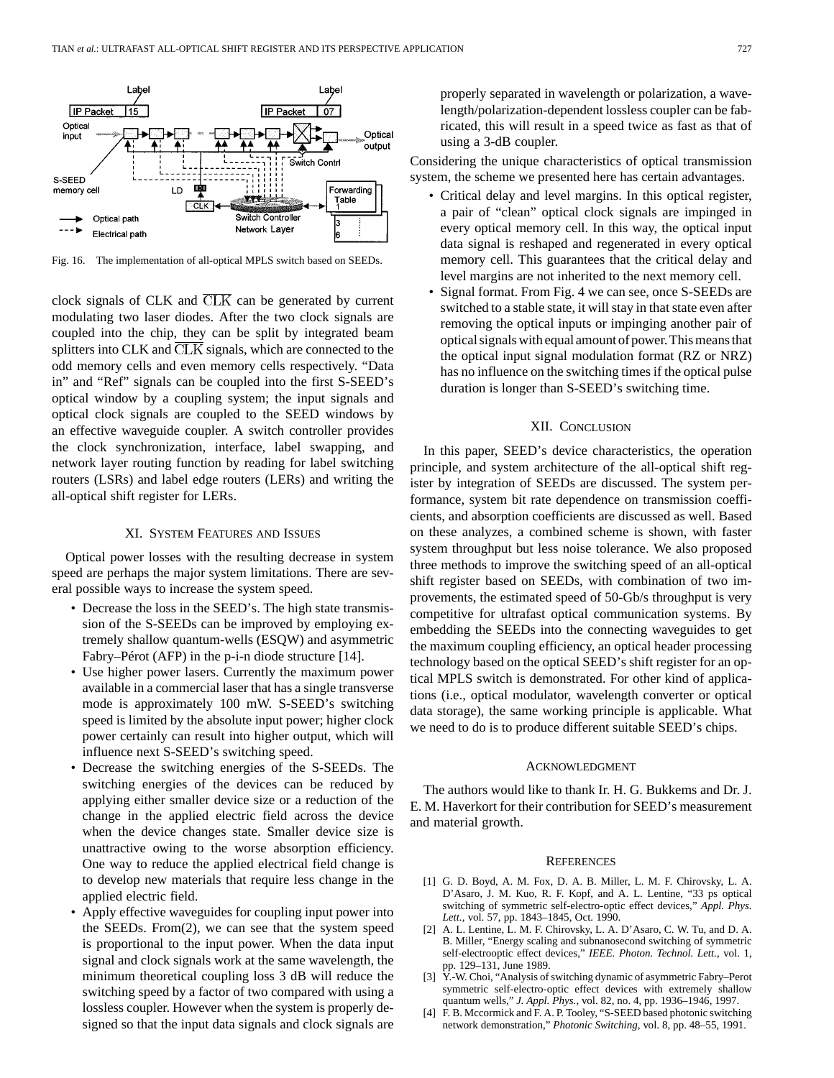

Fig. 16. The implementation of all-optical MPLS switch based on SEEDs.

clock signals of CLK and  $\overline{\text{CLK}}$  can be generated by current modulating two laser diodes. After the two clock signals are coupled into the chip, they can be split by integrated beam splitters into CLK and CLK signals, which are connected to the odd memory cells and even memory cells respectively. "Data in" and "Ref" signals can be coupled into the first S-SEED's optical window by a coupling system; the input signals and optical clock signals are coupled to the SEED windows by an effective waveguide coupler. A switch controller provides the clock synchronization, interface, label swapping, and network layer routing function by reading for label switching routers (LSRs) and label edge routers (LERs) and writing the all-optical shift register for LERs.

## XI. SYSTEM FEATURES AND ISSUES

Optical power losses with the resulting decrease in system speed are perhaps the major system limitations. There are several possible ways to increase the system speed.

- Decrease the loss in the SEED's. The high state transmission of the S-SEEDs can be improved by employing extremely shallow quantum-wells (ESQW) and asymmetric Fabry–Pérot (AFP) in the p-i-n diode structure [14].
- Use higher power lasers. Currently the maximum power available in a commercial laser that has a single transverse mode is approximately 100 mW. S-SEED's switching speed is limited by the absolute input power; higher clock power certainly can result into higher output, which will influence next S-SEED's switching speed.
- Decrease the switching energies of the S-SEEDs. The switching energies of the devices can be reduced by applying either smaller device size or a reduction of the change in the applied electric field across the device when the device changes state. Smaller device size is unattractive owing to the worse absorption efficiency. One way to reduce the applied electrical field change is to develop new materials that require less change in the applied electric field.
- Apply effective waveguides for coupling input power into the SEEDs. From(2), we can see that the system speed is proportional to the input power. When the data input signal and clock signals work at the same wavelength, the minimum theoretical coupling loss 3 dB will reduce the switching speed by a factor of two compared with using a lossless coupler. However when the system is properly designed so that the input data signals and clock signals are

properly separated in wavelength or polarization, a wavelength/polarization-dependent lossless coupler can be fabricated, this will result in a speed twice as fast as that of using a 3-dB coupler.

Considering the unique characteristics of optical transmission system, the scheme we presented here has certain advantages.

- Critical delay and level margins. In this optical register, a pair of "clean" optical clock signals are impinged in every optical memory cell. In this way, the optical input data signal is reshaped and regenerated in every optical memory cell. This guarantees that the critical delay and level margins are not inherited to the next memory cell.
- Signal format. From Fig. 4 we can see, once S-SEEDs are switched to a stable state, it will stay in that state even after removing the optical inputs or impinging another pair of optical signals with equal amount of power. This means that the optical input signal modulation format (RZ or NRZ) has no influence on the switching times if the optical pulse duration is longer than S-SEED's switching time.

#### XII. CONCLUSION

In this paper, SEED's device characteristics, the operation principle, and system architecture of the all-optical shift register by integration of SEEDs are discussed. The system performance, system bit rate dependence on transmission coefficients, and absorption coefficients are discussed as well. Based on these analyzes, a combined scheme is shown, with faster system throughput but less noise tolerance. We also proposed three methods to improve the switching speed of an all-optical shift register based on SEEDs, with combination of two improvements, the estimated speed of 50-Gb/s throughput is very competitive for ultrafast optical communication systems. By embedding the SEEDs into the connecting waveguides to get the maximum coupling efficiency, an optical header processing technology based on the optical SEED's shift register for an optical MPLS switch is demonstrated. For other kind of applications (i.e., optical modulator, wavelength converter or optical data storage), the same working principle is applicable. What we need to do is to produce different suitable SEED's chips.

## ACKNOWLEDGMENT

The authors would like to thank Ir. H. G. Bukkems and Dr. J. E. M. Haverkort for their contribution for SEED's measurement and material growth.

#### **REFERENCES**

- [1] G. D. Boyd, A. M. Fox, D. A. B. Miller, L. M. F. Chirovsky, L. A. D'Asaro, J. M. Kuo, R. F. Kopf, and A. L. Lentine, "33 ps optical switching of symmetric self-electro-optic effect devices," *Appl. Phys.* Lett., vol. 57, pp. 1843-1845, Oct. 1990.
- [2] A. L. Lentine, L. M. F. Chirovsky, L. A. D'Asaro, C. W. Tu, and D. A. B. Miller, "Energy scaling and subnanosecond switching of symmetric self-electrooptic effect devices," *IEEE. Photon. Technol. Lett.*, vol. 1, pp. 129–131, June 1989.
- [3] Y.-W. Choi, "Analysis of switching dynamic of asymmetric Fabry–Perot symmetric self-electro-optic effect devices with extremely shallow quantum wells," *J. Appl. Phys.*, vol. 82, no. 4, pp. 1936–1946, 1997.
- [4] F. B. Mccormick and F. A. P. Tooley, "S-SEED based photonic switching network demonstration," *Photonic Switching*, vol. 8, pp. 48–55, 1991.